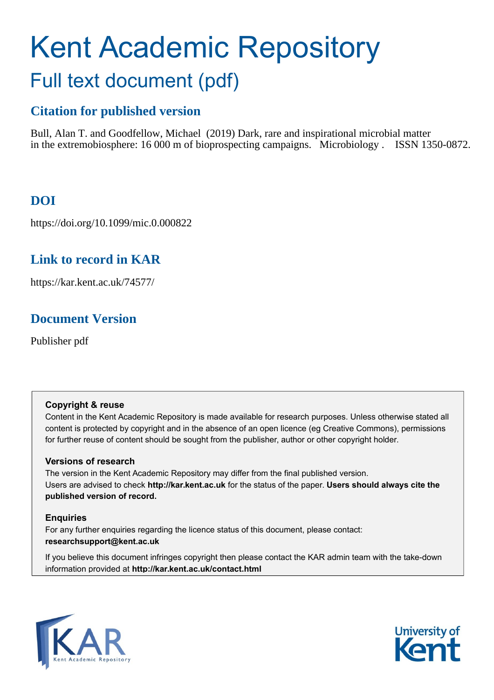# Kent Academic Repository Full text document (pdf)

# **Citation for published version**

Bull, Alan T. and Goodfellow, Michael (2019) Dark, rare and inspirational microbial matter in the extremobiosphere: 16 000 m of bioprospecting campaigns. Microbiology . ISSN 1350-0872.

# **DOI**

https://doi.org/10.1099/mic.0.000822

# **Link to record in KAR**

https://kar.kent.ac.uk/74577/

# **Document Version**

Publisher pdf

# **Copyright & reuse**

Content in the Kent Academic Repository is made available for research purposes. Unless otherwise stated all content is protected by copyright and in the absence of an open licence (eg Creative Commons), permissions for further reuse of content should be sought from the publisher, author or other copyright holder.

# **Versions of research**

The version in the Kent Academic Repository may differ from the final published version. Users are advised to check **http://kar.kent.ac.uk** for the status of the paper. **Users should always cite the published version of record.**

# **Enquiries**

For any further enquiries regarding the licence status of this document, please contact: **researchsupport@kent.ac.uk**

If you believe this document infringes copyright then please contact the KAR admin team with the take-down information provided at **http://kar.kent.ac.uk/contact.html**



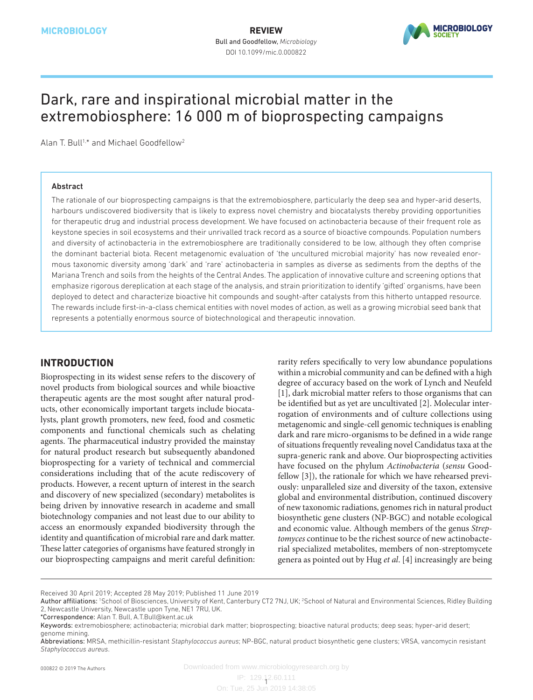

# Dark, rare and inspirational microbial matter in the extremobiosphere: 16 000 m of bioprospecting campaigns

Alan T. Bull<sup>1,\*</sup> and Michael Goodfellow<sup>2</sup>

#### Abstract

The rationale of our bioprospecting campaigns is that the extremobiosphere, particularly the deep sea and hyper-arid deserts, harbours undiscovered biodiversity that is likely to express novel chemistry and biocatalysts thereby providing opportunities for therapeutic drug and industrial process development. We have focused on actinobacteria because of their frequent role as keystone species in soil ecosystems and their unrivalled track record as a source of bioactive compounds. Population numbers and diversity of actinobacteria in the extremobiosphere are traditionally considered to be low, although they often comprise the dominant bacterial biota. Recent metagenomic evaluation of 'the uncultured microbial majority' has now revealed enormous taxonomic diversity among 'dark' and 'rare' actinobacteria in samples as diverse as sediments from the depths of the Mariana Trench and soils from the heights of the Central Andes. The application of innovative culture and screening options that emphasize rigorous dereplication at each stage of the analysis, and strain prioritization to identify 'gifted' organisms, have been deployed to detect and characterize bioactive hit compounds and sought-after catalysts from this hitherto untapped resource. The rewards include first-in-a-class chemical entities with novel modes of action, as well as a growing microbial seed bank that represents a potentially enormous source of biotechnological and therapeutic innovation.

## **Introduction**

Bioprospecting in its widest sense refers to the discovery of novel products from biological sources and while bioactive therapeutic agents are the most sought after natural products, other economically important targets include biocatalysts, plant growth promoters, new feed, food and cosmetic components and functional chemicals such as chelating agents. The pharmaceutical industry provided the mainstay for natural product research but subsequently abandoned bioprospecting for a variety of technical and commercial considerations including that of the acute rediscovery of products. However, a recent upturn of interest in the search and discovery of new specialized (secondary) metabolites is being driven by innovative research in academe and small biotechnology companies and not least due to our ability to access an enormously expanded biodiversity through the identity and quantification of microbial rare and dark matter. These latter categories of organisms have featured strongly in our bioprospecting campaigns and merit careful definition:

rarity refers specifically to very low abundance populations within a microbial community and can be defined with a high degree of accuracy based on the work of Lynch and Neufeld [1], dark microbial matter refers to those organisms that can be identified but as yet are uncultivated [2]. Molecular interrogation of environments and of culture collections using metagenomic and single-cell genomic techniques is enabling dark and rare micro-organisms to be defined in a wide range of situations frequently revealing novel Candidatus taxa at the supra-generic rank and above. Our bioprospecting activities have focused on the phylum *Actinobacteria* (*sensu* Goodfellow [3]), the rationale for which we have rehearsed previously: unparalleled size and diversity of the taxon, extensive global and environmental distribution, continued discovery of new taxonomic radiations, genomes rich in natural product biosynthetic gene clusters (NP-BGC) and notable ecological and economic value. Although members of the genus *Streptomyces* continue to be the richest source of new actinobacterial specialized metabolites, members of non-streptomycete genera as pointed out by Hug *et al*. [4] increasingly are being

IP: 129.12.60.111 1 On: Tue, 25 Jun 2019 14:38:05

Received 30 April 2019; Accepted 28 May 2019; Published 11 June 2019

Author affiliations: <sup>1</sup>School of Biosciences, University of Kent, Canterbury CT2 7NJ, UK; <sup>2</sup>School of Natural and Environmental Sciences, Ridley Building 2, Newcastle University, Newcastle upon Tyne, NE1 7RU, UK.

<sup>\*</sup>Correspondence: Alan T. Bull, A.T.Bull@kent.ac.uk

Keywords: extremobiosphere; actinobacteria; microbial dark matter; bioprospecting; bioactive natural products; deep seas; hyper-arid desert; genome mining.

Abbreviations: MRSA, methicillin-resistant *Staphylococcus aureus*; NP-BGC, natural product biosynthetic gene clusters; VRSA, vancomycin resistant *Staphylococcus aureus*.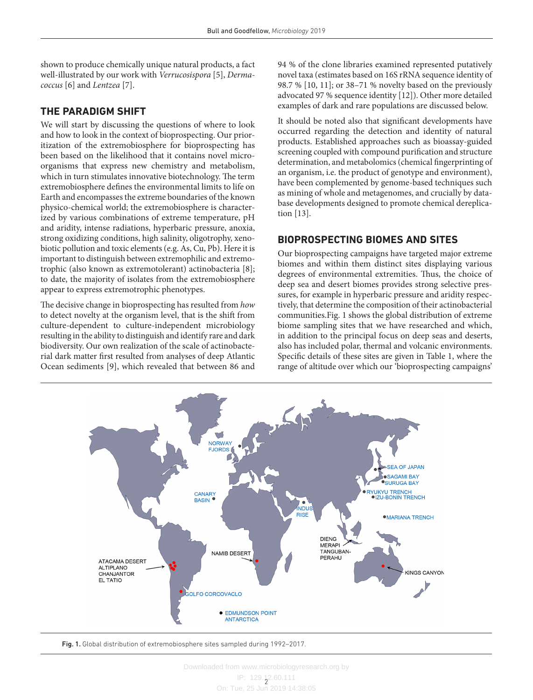shown to produce chemically unique natural products, a fact well-illustrated by our work with *Verrucosispora* [5], *Dermacoccus* [6] and *Lentzea* [7].

## **The paradigm shift**

We will start by discussing the questions of where to look and how to look in the context of bioprospecting. Our prioritization of the extremobiosphere for bioprospecting has been based on the likelihood that it contains novel microorganisms that express new chemistry and metabolism, which in turn stimulates innovative biotechnology. The term extremobiosphere defines the environmental limits to life on Earth and encompasses the extreme boundaries of the known physico-chemical world; the extremobiosphere is characterized by various combinations of extreme temperature, pH and aridity, intense radiations, hyperbaric pressure, anoxia, strong oxidizing conditions, high salinity, oligotrophy, xenobiotic pollution and toxic elements (e.g. As, Cu, Pb). Here it is important to distinguish between extremophilic and extremotrophic (also known as extremotolerant) actinobacteria [8]; to date, the majority of isolates from the extremobiosphere appear to express extremotrophic phenotypes.

The decisive change in bioprospecting has resulted from *how* to detect novelty at the organism level, that is the shift from culture-dependent to culture-independent microbiology resulting in the ability to distinguish and identify rare and dark biodiversity. Our own realization of the scale of actinobacterial dark matter first resulted from analyses of deep Atlantic Ocean sediments [9], which revealed that between 86 and

94 % of the clone libraries examined represented putatively novel taxa (estimates based on 16S rRNA sequence identity of 98.7 % [10, 11]; or 38–71 % novelty based on the previously advocated 97 % sequence identity [12]). Other more detailed examples of dark and rare populations are discussed below.

It should be noted also that significant developments have occurred regarding the detection and identity of natural products. Established approaches such as bioassay-guided screening coupled with compound purification and structure determination, and metabolomics (chemical fingerprinting of an organism, i.e. the product of genotype and environment), have been complemented by genome-based techniques such as mining of whole and metagenomes, and crucially by database developments designed to promote chemical dereplication [13].

## **Bioprospecting biomes and sites**

Our bioprospecting campaigns have targeted major extreme biomes and within them distinct sites displaying various degrees of environmental extremities. Thus, the choice of deep sea and desert biomes provides strong selective pressures, for example in hyperbaric pressure and aridity respectively, that determine the composition of their actinobacterial communities.Fig. 1 shows the global distribution of extreme biome sampling sites that we have researched and which, in addition to the principal focus on deep seas and deserts, also has included polar, thermal and volcanic environments. Specific details of these sites are given in Table 1, where the range of altitude over which our 'bioprospecting campaigns'



Fig. 1. Global distribution of extremobiosphere sites sampled during 1992–2017.

IP: 129.12.60.111 On: Tue, 25 Jun 2019 14:38:05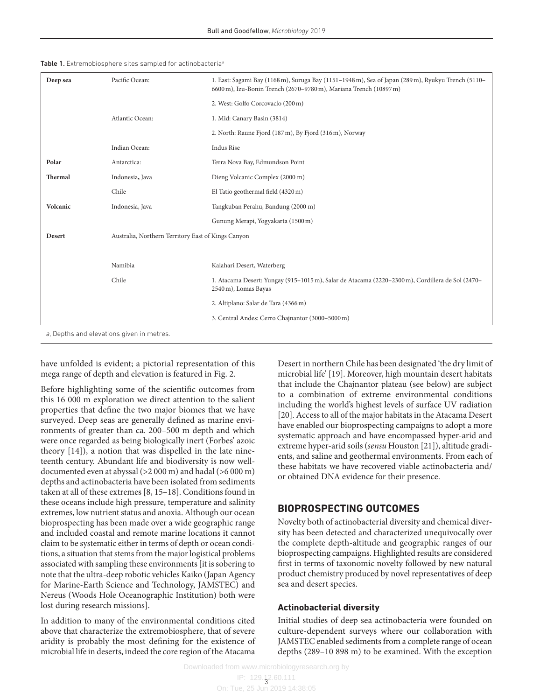|  |  |  |  |  |  |  | <b>Table 1.</b> Extremobiosphere sites sampled for actinobacteria <sup>a</sup> |  |
|--|--|--|--|--|--|--|--------------------------------------------------------------------------------|--|
|--|--|--|--|--|--|--|--------------------------------------------------------------------------------|--|

| Pacific Ocean:<br>Deep sea |                                                    | 1. East: Sagami Bay (1168 m), Suruga Bay (1151-1948 m), Sea of Japan (289 m), Ryukyu Trench (5110-<br>6600 m), Izu-Bonin Trench (2670–9780 m), Mariana Trench (10897 m) |
|----------------------------|----------------------------------------------------|-------------------------------------------------------------------------------------------------------------------------------------------------------------------------|
|                            |                                                    | 2. West: Golfo Corcovaclo (200 m)                                                                                                                                       |
|                            | Atlantic Ocean:                                    | 1. Mid: Canary Basin (3814)                                                                                                                                             |
|                            |                                                    | 2. North: Raune Fjord (187 m), By Fjord (316 m), Norway                                                                                                                 |
|                            | Indian Ocean:                                      | Indus Rise                                                                                                                                                              |
| Polar                      | Antarctica:                                        | Terra Nova Bay, Edmundson Point                                                                                                                                         |
| Thermal                    | Indonesia, Java                                    | Dieng Volcanic Complex (2000 m)                                                                                                                                         |
|                            | Chile                                              | El Tatio geothermal field (4320 m)                                                                                                                                      |
| Volcanic                   | Indonesia, Java                                    | Tangkuban Perahu, Bandung (2000 m)                                                                                                                                      |
|                            |                                                    | Gunung Merapi, Yogyakarta (1500 m)                                                                                                                                      |
| Desert                     | Australia, Northern Territory East of Kings Canyon |                                                                                                                                                                         |
|                            |                                                    |                                                                                                                                                                         |
|                            | Namibia                                            | Kalahari Desert, Waterberg                                                                                                                                              |
|                            | Chile                                              | 1. Atacama Desert: Yungay (915-1015 m), Salar de Atacama (2220-2300 m), Cordillera de Sol (2470-<br>2540 m), Lomas Bayas                                                |
|                            |                                                    | 2. Altiplano: Salar de Tara (4366 m)                                                                                                                                    |
|                            |                                                    | 3. Central Andes: Cerro Chajnantor (3000-5000 m)                                                                                                                        |
|                            | a, Depths and elevations given in metres.          |                                                                                                                                                                         |

have unfolded is evident; a pictorial representation of this mega range of depth and elevation is featured in Fig. 2.

Before highlighting some of the scientific outcomes from this 16 000 m exploration we direct attention to the salient properties that define the two major biomes that we have surveyed. Deep seas are generally defined as marine environments of greater than ca. 200–500 m depth and which were once regarded as being biologically inert (Forbes' azoic theory [14]), a notion that was dispelled in the late nineteenth century. Abundant life and biodiversity is now welldocumented even at abyssal (>2 000 m) and hadal (>6 000 m) depths and actinobacteria have been isolated from sediments taken at all of these extremes [8, 15–18]. Conditions found in these oceans include high pressure, temperature and salinity extremes, low nutrient status and anoxia. Although our ocean bioprospecting has been made over a wide geographic range and included coastal and remote marine locations it cannot claim to be systematic either in terms of depth or ocean conditions, a situation that stems from the major logistical problems associated with sampling these environments [it is sobering to note that the ultra-deep robotic vehicles Kaiko (Japan Agency for Marine-Earth Science and Technology, JAMSTEC) and Nereus (Woods Hole Oceanographic Institution) both were lost during research missions].

In addition to many of the environmental conditions cited above that characterize the extremobiosphere, that of severe aridity is probably the most defining for the existence of microbial life in deserts, indeed the core region of the Atacama

Desert in northern Chile has been designated 'the dry limit of microbial life' [19]. Moreover, high mountain desert habitats that include the Chajnantor plateau (see below) are subject to a combination of extreme environmental conditions including the world's highest levels of surface UV radiation [20]. Access to all of the major habitats in the Atacama Desert have enabled our bioprospecting campaigns to adopt a more systematic approach and have encompassed hyper-arid and extreme hyper-arid soils (*sensu* Houston [21]), altitude gradients, and saline and geothermal environments. From each of these habitats we have recovered viable actinobacteria and/ or obtained DNA evidence for their presence.

#### **Bioprospecting outcomes**

Novelty both of actinobacterial diversity and chemical diversity has been detected and characterized unequivocally over the complete depth-altitude and geographic ranges of our bioprospecting campaigns. Highlighted results are considered first in terms of taxonomic novelty followed by new natural product chemistry produced by novel representatives of deep sea and desert species.

#### **Actinobacterial diversity**

Initial studies of deep sea actinobacteria were founded on culture-dependent surveys where our collaboration with JAMSTEC enabled sediments from a complete range of ocean depths (289–10 898 m) to be examined. With the exception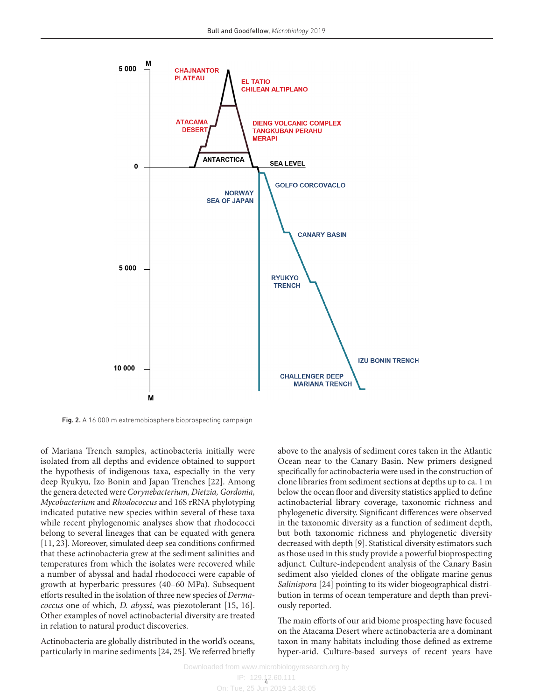

of Mariana Trench samples, actinobacteria initially were isolated from all depths and evidence obtained to support the hypothesis of indigenous taxa, especially in the very deep Ryukyu, Izo Bonin and Japan Trenches [22]. Among the genera detected were *Corynebacterium, Dietzia, Gordonia, Mycobacterium* and *Rhodococcus* and 16S rRNA phylotyping indicated putative new species within several of these taxa while recent phylogenomic analyses show that rhodococci belong to several lineages that can be equated with genera [11, 23]. Moreover, simulated deep sea conditions confirmed that these actinobacteria grew at the sediment salinities and temperatures from which the isolates were recovered while a number of abyssal and hadal rhodococci were capable of growth at hyperbaric pressures (40–60 MPa). Subsequent efforts resulted in the isolation of three new species of *Dermacoccus* one of which, *D. abyssi*, was piezotolerant [15, 16]. Other examples of novel actinobacterial diversity are treated in relation to natural product discoveries.

Actinobacteria are globally distributed in the world's oceans, particularly in marine sediments [24, 25]. We referred briefly above to the analysis of sediment cores taken in the Atlantic Ocean near to the Canary Basin. New primers designed specifically for actinobacteria were used in the construction of clone libraries from sediment sections at depths up to ca. 1 m below the ocean floor and diversity statistics applied to define actinobacterial library coverage, taxonomic richness and phylogenetic diversity. Significant differences were observed in the taxonomic diversity as a function of sediment depth, but both taxonomic richness and phylogenetic diversity decreased with depth [9]. Statistical diversity estimators such as those used in this study provide a powerful bioprospecting adjunct. Culture-independent analysis of the Canary Basin sediment also yielded clones of the obligate marine genus *Salinispora* [24] pointing to its wider biogeographical distribution in terms of ocean temperature and depth than previously reported.

The main efforts of our arid biome prospecting have focused on the Atacama Desert where actinobacteria are a dominant taxon in many habitats including those defined as extreme hyper-arid. Culture-based surveys of recent years have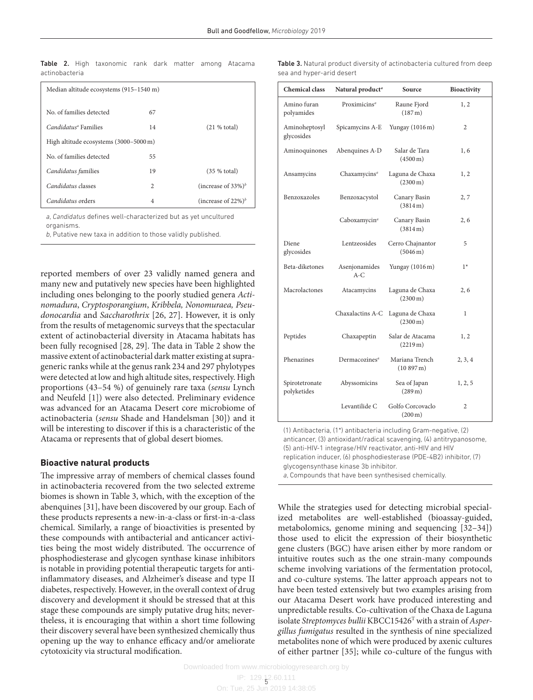Table 2. High taxonomic rank dark matter among Atacama actinobacteria

| Median altitude ecosystems (915-1540 m) |                |                        |  |  |  |  |
|-----------------------------------------|----------------|------------------------|--|--|--|--|
| No of families detected                 | 67             |                        |  |  |  |  |
| Candidatus <sup>a</sup> Families        | 14             | (21 % total)           |  |  |  |  |
| High altitude ecosystems (3000-5000 m)  |                |                        |  |  |  |  |
| No of families detected                 | 55             |                        |  |  |  |  |
| Candidatus families                     | 19             | (35 % total)           |  |  |  |  |
| Candidatus classes                      | $\overline{c}$ | (increase of $33\%)^b$ |  |  |  |  |
| Candidatus orders                       | $\overline{4}$ | (increase of $22\%)^b$ |  |  |  |  |

*a*, *Candidatus* defines well-characterized but as yet uncultured organisms.

*b*, Putative new taxa in addition to those validly published.

reported members of over 23 validly named genera and many new and putatively new species have been highlighted including ones belonging to the poorly studied genera *Actinomadura*, *Cryptosporangium*, *Kribbela, Nonomuraea, Pseudonocardia* and *Saccharothrix* [26, 27]. However, it is only from the results of metagenomic surveys that the spectacular extent of actinobacterial diversity in Atacama habitats has been fully recognised [28, 29]. The data in Table 2 show the massive extent of actinobacterial dark matter existing at suprageneric ranks while at the genus rank 234 and 297 phylotypes were detected at low and high altitude sites, respectively. High proportions (43–54 %) of genuinely rare taxa (*sensu* Lynch and Neufeld [1]) were also detected. Preliminary evidence was advanced for an Atacama Desert core microbiome of actinobacteria (*sensu* Shade and Handelsman [30]) and it will be interesting to discover if this is a characteristic of the Atacama or represents that of global desert biomes.

#### **Bioactive natural products**

The impressive array of members of chemical classes found in actinobacteria recovered from the two selected extreme biomes is shown in Table 3, which, with the exception of the abenquines [31], have been discovered by our group. Each of these products represents a new-in-a-class or first-in-a-class chemical. Similarly, a range of bioactivities is presented by these compounds with antibacterial and anticancer activities being the most widely distributed. The occurrence of phosphodiesterase and glycogen synthase kinase inhibitors is notable in providing potential therapeutic targets for antiinflammatory diseases, and Alzheimer's disease and type II diabetes, respectively. However, in the overall context of drug discovery and development it should be stressed that at this stage these compounds are simply putative drug hits; nevertheless, it is encouraging that within a short time following their discovery several have been synthesized chemically thus opening up the way to enhance efficacy and/or ameliorate cytotoxicity via structural modification.

| <b>Table 3.</b> Natural product diversity of actinobacteria cultured from deep |  |  |  |  |
|--------------------------------------------------------------------------------|--|--|--|--|
| sea and hyper-arid desert                                                      |  |  |  |  |

| <b>Chemical class</b>         | Natural product <sup>a</sup> | Source                                    | <b>Bioactivity</b> |
|-------------------------------|------------------------------|-------------------------------------------|--------------------|
| Amino furan<br>polyamides     | Proximicins <sup>a</sup>     | Raune Fjord<br>$(187 \,\mathrm{m})$       | 1, 2               |
| Aminoheptosyl<br>glycosides   | Spicamycins A-E              | Yungay $(1016 \,\mathrm{m})$              | 2                  |
| Aminoquinones                 | Abenquines A-D               | Salar de Tara<br>$(4500 \,\mathrm{m})$    | 1,6                |
| Ansamycins                    | Chaxamycins <sup>a</sup>     | Laguna de Chaxa<br>$(2300 \,\mathrm{m})$  | 1, 2               |
| Benzoxazoles                  | Benzoxacystol                | Canary Basin<br>(3814 m)                  | 2,7                |
|                               | Caboxamycin <sup>a</sup>     | Canary Basin<br>(3814 m)                  | 2, 6               |
| Diene<br>glycosides           | Lentzeosides                 | Cerro Chajnantor<br>$(5046 \,\mathrm{m})$ | 5                  |
| Beta-diketones                | Asenjonamides<br>$A-C$       | Yungay (1016 m)                           | $1*$               |
| Macrolactones                 | Atacamycins                  | Laguna de Chaxa<br>$(2300 \,\mathrm{m})$  | 2, 6               |
|                               | Chaxalactins A-C             | Laguna de Chaxa<br>$(2300 \,\mathrm{m})$  | 1                  |
| Peptides                      | Chaxapeptin                  | Salar de Atacama<br>(2219m)               | 1, 2               |
| Phenazines                    | Dermacozines <sup>a</sup>    | Mariana Trench<br>(10897 m)               | 2, 3, 4            |
| Spirotetronate<br>polyketides | Abyssomicins                 | Sea of Japan<br>$(289 \,\mathrm{m})$      | 1, 2, 5            |
|                               | Levantilide C                | Golfo Corcovaclo<br>$(200 \,\mathrm{m})$  | 2                  |

(1) Antibacteria, (1\*) antibacteria including Gram-negative, (2) anticancer, (3) antioxidant/radical scavenging, (4) antitrypanosome, (5) anti-HIV-1 integrase/HIV reactivator, anti-HIV and HIV replication inducer, (6) phosphodiesterase (PDE-4B2) inhibitor, (7) glycogensynthase kinase 3b inhibitor.

*a*, Compounds that have been synthesised chemically.

While the strategies used for detecting microbial specialized metabolites are well-established (bioassay-guided, metabolomics, genome mining and sequencing [32–34]) those used to elicit the expression of their biosynthetic gene clusters (BGC) have arisen either by more random or intuitive routes such as the one strain-many compounds scheme involving variations of the fermentation protocol, and co-culture systems. The latter approach appears not to have been tested extensively but two examples arising from our Atacama Desert work have produced interesting and unpredictable results. Co-cultivation of the Chaxa de Laguna isolate *Streptomyces bullii* KBCC15426T with a strain of *Aspergillus fumigatus* resulted in the synthesis of nine specialized metabolites none of which were produced by axenic cultures of either partner [35]; while co-culture of the fungus with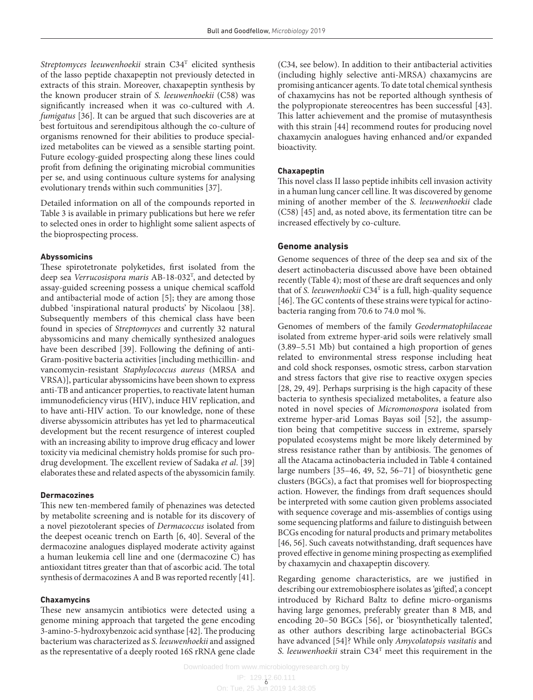*Streptomyces leeuwenhoekii* strain C34T elicited synthesis of the lasso peptide chaxapeptin not previously detected in extracts of this strain. Moreover, chaxapeptin synthesis by the known producer strain of *S. leeuwenhoekii* (C58) was significantly increased when it was co-cultured with *A. fumigatus* [36]. It can be argued that such discoveries are at best fortuitous and serendipitous although the co-culture of organisms renowned for their abilities to produce specialized metabolites can be viewed as a sensible starting point. Future ecology-guided prospecting along these lines could profit from defining the originating microbial communities per se, and using continuous culture systems for analysing evolutionary trends within such communities [37].

Detailed information on all of the compounds reported in Table 3 is available in primary publications but here we refer to selected ones in order to highlight some salient aspects of the bioprospecting process.

#### **Abyssomicins**

These spirotetronate polyketides, first isolated from the deep sea *Verrucosispora maris* AB-18-032T , and detected by assay-guided screening possess a unique chemical scaffold and antibacterial mode of action [5]; they are among those dubbed 'inspirational natural products' by Nicolaou [38]. Subsequently members of this chemical class have been found in species of *Streptomyces* and currently 32 natural abyssomicins and many chemically synthesized analogues have been described [39]. Following the defining of anti-Gram-positive bacteria activities [including methicillin- and vancomycin-resistant *Staphylococcus aureus* (MRSA and VRSA)], particular abyssomicins have been shown to express anti-TB and anticancer properties, to reactivate latent human immunodeficiency virus (HIV), induce HIV replication, and to have anti-HIV action. To our knowledge, none of these diverse abyssomicin attributes has yet led to pharmaceutical development but the recent resurgence of interest coupled with an increasing ability to improve drug efficacy and lower toxicity via medicinal chemistry holds promise for such prodrug development. The excellent review of Sadaka *et al*. [39] elaborates these and related aspects of the abyssomicin family.

#### **Dermacozines**

This new ten-membered family of phenazines was detected by metabolite screening and is notable for its discovery of a novel piezotolerant species of *Dermacoccus* isolated from the deepest oceanic trench on Earth [6, 40]. Several of the dermacozine analogues displayed moderate activity against a human leukemia cell line and one (dermacozine C) has antioxidant titres greater than that of ascorbic acid. The total synthesis of dermacozines A and B was reported recently [41].

#### **Chaxamycins**

These new ansamycin antibiotics were detected using a genome mining approach that targeted the gene encoding 3-amino-5-hydroxybenzoic acid synthase [42]. The producing bacterium was characterized as *S. leeuwenhoekii* and assigned as the representative of a deeply rooted 16S rRNA gene clade

(C34, see below). In addition to their antibacterial activities (including highly selective anti-MRSA) chaxamycins are promising anticancer agents. To date total chemical synthesis of chaxamycins has not be reported although synthesis of the polypropionate stereocentres has been successful [43]. This latter achievement and the promise of mutasynthesis with this strain [44] recommend routes for producing novel chaxamycin analogues having enhanced and/or expanded bioactivity.

#### **Chaxapeptin**

This novel class II lasso peptide inhibits cell invasion activity in a human lung cancer cell line. It was discovered by genome mining of another member of the *S. leeuwenhoekii* clade (C58) [45] and, as noted above, its fermentation titre can be increased effectively by co-culture.

#### **Genome analysis**

Genome sequences of three of the deep sea and six of the desert actinobacteria discussed above have been obtained recently (Table 4); most of these are draft sequences and only that of *S. leeuwenhoekii* C34T is a full, high-quality sequence [46]. The GC contents of these strains were typical for actinobacteria ranging from 70.6 to 74.0 mol %.

Genomes of members of the family *Geodermatophilaceae* isolated from extreme hyper-arid soils were relatively small (3.89–5.51 Mb) but contained a high proportion of genes related to environmental stress response including heat and cold shock responses, osmotic stress, carbon starvation and stress factors that give rise to reactive oxygen species [28, 29, 49]. Perhaps surprising is the high capacity of these bacteria to synthesis specialized metabolites, a feature also noted in novel species of *Micromonospora* isolated from extreme hyper-arid Lomas Bayas soil [52], the assumption being that competitive success in extreme, sparsely populated ecosystems might be more likely determined by stress resistance rather than by antibiosis. The genomes of all the Atacama actinobacteria included in Table 4 contained large numbers [35–46, 49, 52, 56–71] of biosynthetic gene clusters (BGCs), a fact that promises well for bioprospecting action. However, the findings from draft sequences should be interpreted with some caution given problems associated with sequence coverage and mis-assemblies of contigs using some sequencing platforms and failure to distinguish between BCGs encoding for natural products and primary metabolites [46, 56]. Such caveats notwithstanding, draft sequences have proved effective in genome mining prospecting as exemplified by chaxamycin and chaxapeptin discovery.

Regarding genome characteristics, are we justified in describing our extremobiosphere isolates as 'gifted', a concept introduced by Richard Baltz to define micro-organisms having large genomes, preferably greater than 8 MB, and encoding 20–50 BGCs [56], or 'biosynthetically talented', as other authors describing large actinobacterial BGCs have advanced [54]? While only *Amycolatopsis vasitatis* and *S. leeuwenhoekii* strain C34T meet this requirement in the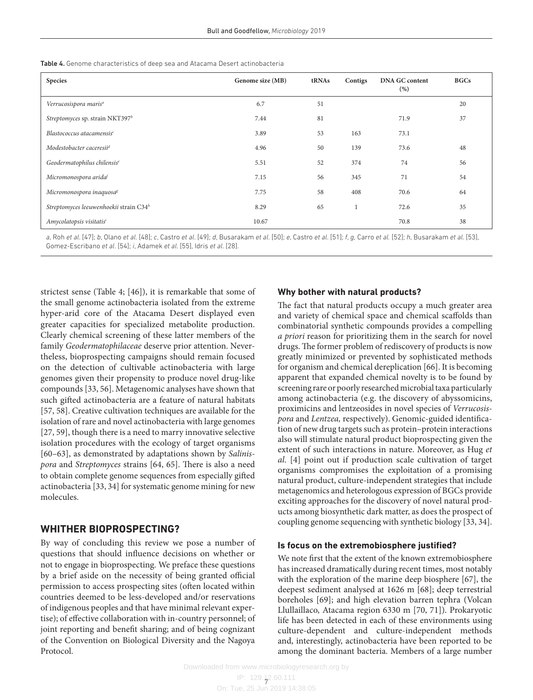| <b>Species</b>                                     | Genome size (MB) | tRNAs | Contigs | <b>DNA GC content</b><br>(%) | <b>BGCs</b> |
|----------------------------------------------------|------------------|-------|---------|------------------------------|-------------|
| Verrucosispora maris <sup>a</sup>                  | 6.7              | 51    |         |                              | 20          |
| Streptomyces sp. strain NKT397 <sup>b</sup>        | 7.44             | 81    |         | 71.9                         | 37          |
| Blastococcus atacamensis <sup>c</sup>              | 3.89             | 53    | 163     | 73.1                         |             |
| Modestobacter caceresii <sup>d</sup>               | 4.96             | 50    | 139     | 73.6                         | 48          |
| Geodermatophilus chilensis <sup>e</sup>            | 5.51             | 52    | 374     | 74                           | 56          |
| Micromonospora arida <sup>f</sup>                  | 7.15             | 56    | 345     | 71                           | 54          |
| Micromonospora inaquosa <sup>g</sup>               | 7.75             | 58    | 408     | 70.6                         | 64          |
| Streptomyces leeuwenhoekii strain C34 <sup>h</sup> | 8.29             | 65    |         | 72.6                         | 35          |
| Amycolatopsis visitatis <sup>i</sup>               | 10.67            |       |         | 70.8                         | 38          |

Table 4. Genome characteristics of deep sea and Atacama Desert actinobacteria

a, Roh et al. [47]; b, Olano et al. [48]; c, Castro et al. [49]; d, Busarakam et al. [50]; e, Castro et al. [51]; f, g, Carro et al. [52]; h, Busarakam et al. [53], Gomez-Escribano *et al*. [54]; *i*, Adamek *et al*. [55], Idris *et al*. [28].

strictest sense (Table 4; [46]), it is remarkable that some of the small genome actinobacteria isolated from the extreme hyper-arid core of the Atacama Desert displayed even greater capacities for specialized metabolite production. Clearly chemical screening of these latter members of the family *Geodermatophilaceae* deserve prior attention. Nevertheless, bioprospecting campaigns should remain focused on the detection of cultivable actinobacteria with large genomes given their propensity to produce novel drug-like compounds [33, 56]. Metagenomic analyses have shown that such gifted actinobacteria are a feature of natural habitats [57, 58]. Creative cultivation techniques are available for the isolation of rare and novel actinobacteria with large genomes [27, 59], though there is a need to marry innovative selective isolation procedures with the ecology of target organisms [60–63], as demonstrated by adaptations shown by *Salinispora* and *Streptomyces* strains [64, 65]. There is also a need to obtain complete genome sequences from especially gifted actinobacteria [33, 34] for systematic genome mining for new molecules.

#### **Whither bioprospecting?**

By way of concluding this review we pose a number of questions that should influence decisions on whether or not to engage in bioprospecting. We preface these questions by a brief aside on the necessity of being granted official permission to access prospecting sites (often located within countries deemed to be less-developed and/or reservations of indigenous peoples and that have minimal relevant expertise); of effective collaboration with in-country personnel; of joint reporting and benefit sharing; and of being cognizant of the Convention on Biological Diversity and the Nagoya Protocol.

#### **Why bother with natural products?**

The fact that natural products occupy a much greater area and variety of chemical space and chemical scaffolds than combinatorial synthetic compounds provides a compelling *a priori* reason for prioritizing them in the search for novel drugs. The former problem of rediscovery of products is now greatly minimized or prevented by sophisticated methods for organism and chemical dereplication [66]. It is becoming apparent that expanded chemical novelty is to be found by screening rare or poorly researched microbial taxa particularly among actinobacteria (e.g. the discovery of abyssomicins, proximicins and lentzeosides in novel species of *Verrucosispora* and *Lentzea,* respectively). Genomic-guided identification of new drug targets such as protein–protein interactions also will stimulate natural product bioprospecting given the extent of such interactions in nature. Moreover, as Hug *et al*. [4] point out if production scale cultivation of target organisms compromises the exploitation of a promising natural product, culture-independent strategies that include metagenomics and heterologous expression of BGCs provide exciting approaches for the discovery of novel natural products among biosynthetic dark matter, as does the prospect of coupling genome sequencing with synthetic biology [33, 34].

#### **Is focus on the extremobiosphere justified?**

We note first that the extent of the known extremobiosphere has increased dramatically during recent times, most notably with the exploration of the marine deep biosphere [67], the deepest sediment analysed at 1626 m [68]; deep terrestrial boreholes [69]; and high elevation barren tephra (Volcan Llullaillaco, Atacama region 6330 m [70, 71]). Prokaryotic life has been detected in each of these environments using culture-dependent and culture-independent methods and, interestingly, actinobacteria have been reported to be among the dominant bacteria. Members of a large number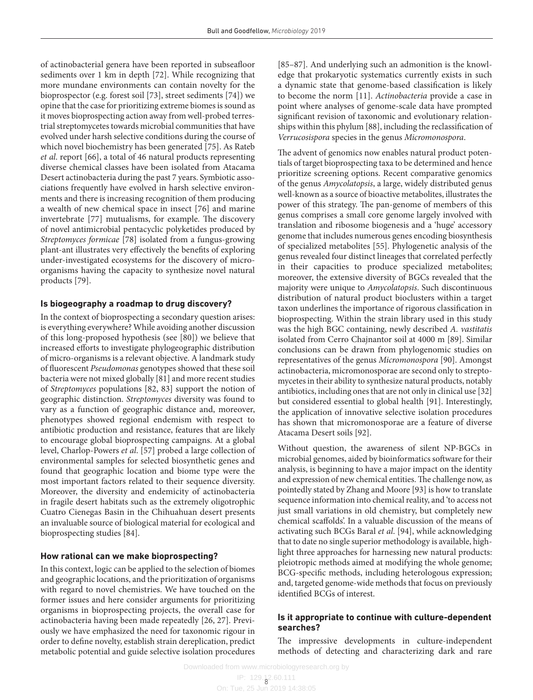of actinobacterial genera have been reported in subseafloor sediments over 1 km in depth [72]. While recognizing that more mundane environments can contain novelty for the bioprospector (e.g. forest soil [73], street sediments [74]) we opine that the case for prioritizing extreme biomes is sound as it moves bioprospecting action away from well-probed terrestrial streptomycetes towards microbial communities that have evolved under harsh selective conditions during the course of which novel biochemistry has been generated [75]. As Rateb *et al*. report [66], a total of 46 natural products representing diverse chemical classes have been isolated from Atacama Desert actinobacteria during the past 7 years. Symbiotic associations frequently have evolved in harsh selective environments and there is increasing recognition of them producing a wealth of new chemical space in insect [76] and marine invertebrate [77] mutualisms, for example. The discovery of novel antimicrobial pentacyclic polyketides produced by *Streptomyces formicae* [78] isolated from a fungus-growing plant-ant illustrates very effectively the benefits of exploring under-investigated ecosystems for the discovery of microorganisms having the capacity to synthesize novel natural products [79].

#### **Is biogeography a roadmap to drug discovery?**

In the context of bioprospecting a secondary question arises: is everything everywhere? While avoiding another discussion of this long-proposed hypothesis (see [80]) we believe that increased efforts to investigate phylogeographic distribution of micro-organisms is a relevant objective. A landmark study of fluorescent *Pseudomonas* genotypes showed that these soil bacteria were not mixed globally [81] and more recent studies of *Streptomyces* populations [82, 83] support the notion of geographic distinction. *Streptomyces* diversity was found to vary as a function of geographic distance and, moreover, phenotypes showed regional endemism with respect to antibiotic production and resistance, features that are likely to encourage global bioprospecting campaigns. At a global level, Charlop-Powers *et al*. [57] probed a large collection of environmental samples for selected biosynthetic genes and found that geographic location and biome type were the most important factors related to their sequence diversity. Moreover, the diversity and endemicity of actinobacteria in fragile desert habitats such as the extremely oligotrophic Cuatro Cienegas Basin in the Chihuahuan desert presents an invaluable source of biological material for ecological and bioprospecting studies [84].

#### **How rational can we make bioprospecting?**

In this context, logic can be applied to the selection of biomes and geographic locations, and the prioritization of organisms with regard to novel chemistries. We have touched on the former issues and here consider arguments for prioritizing organisms in bioprospecting projects, the overall case for actinobacteria having been made repeatedly [26, 27]. Previously we have emphasized the need for taxonomic rigour in order to define novelty, establish strain dereplication, predict metabolic potential and guide selective isolation procedures

[85–87]. And underlying such an admonition is the knowledge that prokaryotic systematics currently exists in such a dynamic state that genome-based classification is likely to become the norm [11]. *Actinobacteria* provide a case in point where analyses of genome-scale data have prompted significant revision of taxonomic and evolutionary relationships within this phylum [88], including the reclassification of *Verrucosispora* species in the genus *Micromonospora*.

The advent of genomics now enables natural product potentials of target bioprospecting taxa to be determined and hence prioritize screening options. Recent comparative genomics of the genus *Amycolatopsis*, a large, widely distributed genus well-known as a source of bioactive metabolites, illustrates the power of this strategy. The pan-genome of members of this genus comprises a small core genome largely involved with translation and ribosome biogenesis and a 'huge' accessory genome that includes numerous genes encoding biosynthesis of specialized metabolites [55]. Phylogenetic analysis of the genus revealed four distinct lineages that correlated perfectly in their capacities to produce specialized metabolites; moreover, the extensive diversity of BGCs revealed that the majority were unique to *Amycolatopsis*. Such discontinuous distribution of natural product bioclusters within a target taxon underlines the importance of rigorous classification in bioprospecting. Within the strain library used in this study was the high BGC containing, newly described *A. vastitatis* isolated from Cerro Chajnantor soil at 4000 m [89]. Similar conclusions can be drawn from phylogenomic studies on representatives of the genus *Micromonospora* [90]. Amongst actinobacteria, micromonosporae are second only to streptomycetes in their ability to synthesize natural products, notably antibiotics, including ones that are not only in clinical use [32] but considered essential to global health [91]. Interestingly, the application of innovative selective isolation procedures has shown that micromonosporae are a feature of diverse Atacama Desert soils [92].

Without question, the awareness of silent NP-BGCs in microbial genomes, aided by bioinformatics software for their analysis, is beginning to have a major impact on the identity and expression of new chemical entities. The challenge now, as pointedly stated by Zhang and Moore [93] is how to translate sequence information into chemical reality, and 'to access not just small variations in old chemistry, but completely new chemical scaffolds'. In a valuable discussion of the means of activating such BCGs Baral *et al*. [94], while acknowledging that to date no single superior methodology is available, highlight three approaches for harnessing new natural products: pleiotropic methods aimed at modifying the whole genome; BCG-specific methods, including heterologous expression; and, targeted genome-wide methods that focus on previously identified BCGs of interest.

#### **Is it appropriate to continue with culture-dependent searches?**

The impressive developments in culture-independent methods of detecting and characterizing dark and rare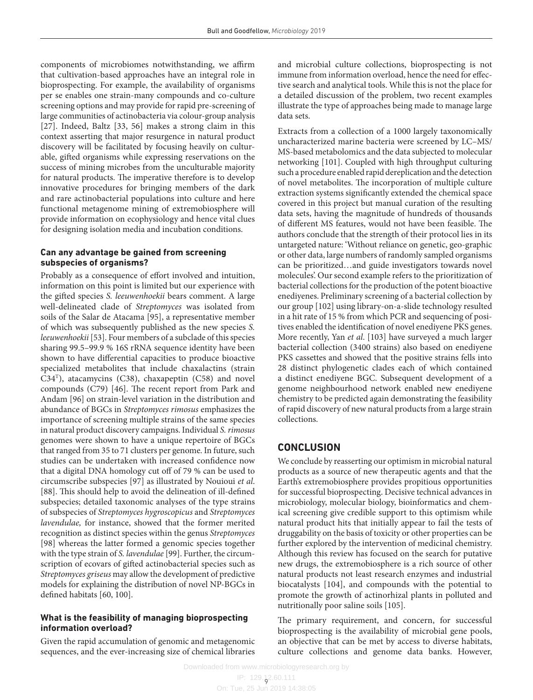components of microbiomes notwithstanding, we affirm that cultivation-based approaches have an integral role in bioprospecting. For example, the availability of organisms per se enables one strain-many compounds and co-culture screening options and may provide for rapid pre-screening of large communities of actinobacteria via colour-group analysis [27]. Indeed, Baltz [33, 56] makes a strong claim in this context asserting that major resurgence in natural product discovery will be facilitated by focusing heavily on culturable, gifted organisms while expressing reservations on the success of mining microbes from the unculturable majority for natural products. The imperative therefore is to develop innovative procedures for bringing members of the dark and rare actinobacterial populations into culture and here functional metagenome mining of extremobiosphere will provide information on ecophysiology and hence vital clues for designing isolation media and incubation conditions.

#### **Can any advantage be gained from screening subspecies of organisms?**

Probably as a consequence of effort involved and intuition, information on this point is limited but our experience with the gifted species *S. leeuwenhoekii* bears comment. A large well-delineated clade of *Streptomyces* was isolated from soils of the Salar de Atacama [95], a representative member of which was subsequently published as the new species *S. leeuwenhoekii* [53]. Four members of a subclade of this species sharing 99.5–99.9 % 16S rRNA sequence identity have been shown to have differential capacities to produce bioactive specialized metabolites that include chaxalactins (strain  $C34<sup>T</sup>$ ), atacamycins (C38), chaxapeptin (C58) and novel compounds (C79) [46]. The recent report from Park and Andam [96] on strain-level variation in the distribution and abundance of BGCs in *Streptomyces rimosus* emphasizes the importance of screening multiple strains of the same species in natural product discovery campaigns. Individual *S. rimosus* genomes were shown to have a unique repertoire of BGCs that ranged from 35 to 71 clusters per genome. In future, such studies can be undertaken with increased confidence now that a digital DNA homology cut off of 79 % can be used to circumscribe subspecies [97] as illustrated by Nouioui *et al*. [88]. This should help to avoid the delineation of ill-defined subspecies; detailed taxonomic analyses of the type strains of subspecies of *Streptomyces hygroscopicus* and *Streptomyces lavendulae,* for instance, showed that the former merited recognition as distinct species within the genus *Streptomyces* [98] whereas the latter formed a genomic species together with the type strain of *S. lavendulae* [99]. Further, the circumscription of ecovars of gifted actinobacterial species such as *Streptomyces griseus* may allow the development of predictive models for explaining the distribution of novel NP-BGCs in defined habitats [60, 100].

#### **What is the feasibility of managing bioprospecting information overload?**

Given the rapid accumulation of genomic and metagenomic sequences, and the ever-increasing size of chemical libraries and microbial culture collections, bioprospecting is not immune from information overload, hence the need for effective search and analytical tools. While this is not the place for a detailed discussion of the problem, two recent examples illustrate the type of approaches being made to manage large data sets.

Extracts from a collection of a 1000 largely taxonomically uncharacterized marine bacteria were screened by LC–MS/ MS-based metabolomics and the data subjected to molecular networking [101]. Coupled with high throughput culturing such a procedure enabled rapid dereplication and the detection of novel metabolites. The incorporation of multiple culture extraction systems significantly extended the chemical space covered in this project but manual curation of the resulting data sets, having the magnitude of hundreds of thousands of different MS features, would not have been feasible. The authors conclude that the strength of their protocol lies in its untargeted nature: 'Without reliance on genetic, geo-graphic or other data, large numbers of randomly sampled organisms can be prioritized…and guide investigators towards novel molecules'. Our second example refers to the prioritization of bacterial collections for the production of the potent bioactive enediyenes. Preliminary screening of a bacterial collection by our group [102] using library-on-a-slide technology resulted in a hit rate of 15 % from which PCR and sequencing of positives enabled the identification of novel enediyene PKS genes. More recently, Yan *et al*. [103] have surveyed a much larger bacterial collection (3400 strains) also based on enediyene PKS cassettes and showed that the positive strains fells into 28 distinct phylogenetic clades each of which contained a distinct enediyene BGC. Subsequent development of a genome neighbourhood network enabled new enediyene chemistry to be predicted again demonstrating the feasibility of rapid discovery of new natural products from a large strain collections.

## **Conclusion**

We conclude by reasserting our optimism in microbial natural products as a source of new therapeutic agents and that the Earth's extremobiosphere provides propitious opportunities for successful bioprospecting. Decisive technical advances in microbiology, molecular biology, bioinformatics and chemical screening give credible support to this optimism while natural product hits that initially appear to fail the tests of druggability on the basis of toxicity or other properties can be further explored by the intervention of medicinal chemistry. Although this review has focused on the search for putative new drugs, the extremobiosphere is a rich source of other natural products not least research enzymes and industrial biocatalysts [104], and compounds with the potential to promote the growth of actinorhizal plants in polluted and nutritionally poor saline soils [105].

The primary requirement, and concern, for successful bioprospecting is the availability of microbial gene pools, an objective that can be met by access to diverse habitats, culture collections and genome data banks. However,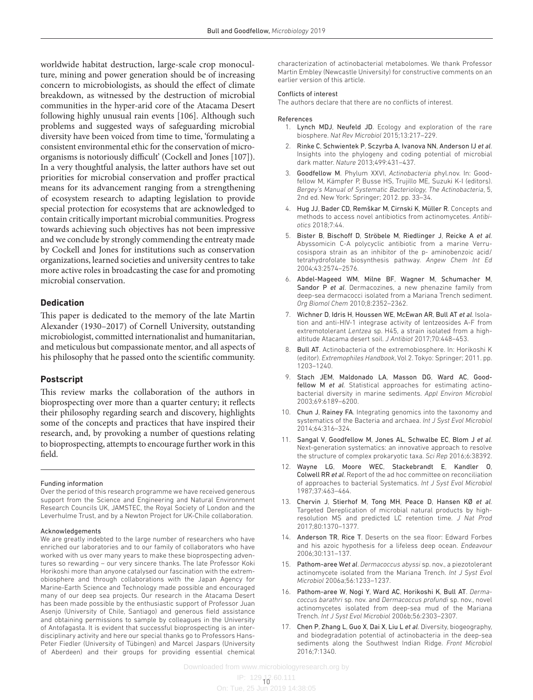worldwide habitat destruction, large-scale crop monoculture, mining and power generation should be of increasing concern to microbiologists, as should the effect of climate breakdown, as witnessed by the destruction of microbial communities in the hyper-arid core of the Atacama Desert following highly unusual rain events [106]. Although such problems and suggested ways of safeguarding microbial diversity have been voiced from time to time, 'formulating a consistent environmental ethic for the conservation of microorganisms is notoriously difficult' (Cockell and Jones [107]). In a very thoughtful analysis, the latter authors have set out priorities for microbial conservation and proffer practical means for its advancement ranging from a strengthening of ecosystem research to adapting legislation to provide special protection for ecosystems that are acknowledged to contain critically important microbial communities. Progress towards achieving such objectives has not been impressive and we conclude by strongly commending the entreaty made by Cockell and Jones for institutions such as conservation organizations, learned societies and university centres to take more active roles in broadcasting the case for and promoting microbial conservation.

#### **Dedication**

This paper is dedicated to the memory of the late Martin Alexander (1930–2017) of Cornell University, outstanding microbiologist, committed internationalist and humanitarian, and meticulous but compassionate mentor, and all aspects of his philosophy that he passed onto the scientific community.

#### **Postscript**

This review marks the collaboration of the authors in bioprospecting over more than a quarter century; it reflects their philosophy regarding search and discovery, highlights some of the concepts and practices that have inspired their research, and, by provoking a number of questions relating to bioprospecting, attempts to encourage further work in this field.

#### Funding information

Over the period of this research programme we have received generous support from the Science and Engineering and Natural Environment Research Councils UK, JAMSTEC, the Royal Society of London and the Leverhulme Trust, and by a Newton Project for UK-Chile collaboration.

#### Acknowledgements

We are greatly indebted to the large number of researchers who have enriched our laboratories and to our family of collaborators who have worked with us over many years to make these bioprospecting adventures so rewarding – our very sincere thanks. The late Professor Koki Horikoshi more than anyone catalysed our fascination with the extremobiosphere and through collaborations with the Japan Agency for Marine-Earth Science and Technology made possible and encouraged many of our deep sea projects. Our research in the Atacama Desert has been made possible by the enthusiastic support of Professor Juan Asenjo (University of Chile, Santiago) and generous field assistance and obtaining permissions to sample by colleagues in the University of Antofagasta. It is evident that successful bioprospecting is an interdisciplinary activity and here our special thanks go to Professors Hans-Peter Fiedler (University of Tübingen) and Marcel Jaspars (University of Aberdeen) and their groups for providing essential chemical

characterization of actinobacterial metabolomes. We thank Professor Martin Embley (Newcastle University) for constructive comments on an earlier version of this article.

#### Conflicts of interest

The authors declare that there are no conflicts of interest.

#### References

- 1. Lynch MDJ, Neufeld JD. Ecology and exploration of the rare biosphere. *Nat Rev Microbiol* 2015;13:217–229.
- 2. Rinke C, Schwientek P, Sczyrba A, Ivanova NN, Anderson IJ *et al*. Insights into the phylogeny and coding potential of microbial dark matter. *Nature* 2013;499:431–437.
- 3. Goodfellow M. Phylum XXVI, *Actinobacteria* phyl.nov. In: Goodfellow M, Kämpfer P, Busse HS, Trujillo ME, Suzuki K-I (editors). *Bergey's Manual of Systematic Bacteriology, The Actinobacteria*, 5, 2nd ed. New York: Springer; 2012. pp. 33–34.
- 4. Hug JJ, Bader CD, Remškar M, Cirnski K, Müller R. Concepts and methods to access novel antibiotics from actinomycetes. *Antibiotics* 2018;7:44.
- 5. Bister B, Bischoff D, Ströbele M, Riedlinger J, Reicke A *et al*. Abyssomicin C-A polycyclic antibiotic from a marine Verrucosispora strain as an inhibitor of the p- aminobenzoic acid/ tetrahydrofolate biosynthesis pathway. *Angew Chem Int Ed* 2004;43:2574–2576.
- 6. Abdel-Mageed WM, Milne BF, Wagner M, Schumacher M, Sandor P *et al*. Dermacozines, a new phenazine family from deep-sea dermacocci isolated from a Mariana Trench sediment. *Org Biomol Chem* 2010;8:2352–2362.
- 7. Wichner D, Idris H, Houssen WE, McEwan AR, Bull AT *et al*. Isolation and anti-HIV-1 integrase activity of lentzeosides A-F from extremotolerant *Lentzea* sp. H45, a strain isolated from a highaltitude Atacama desert soil. *J Antibiot* 2017;70:448–453.
- 8. Bull AT. Actinobacteria of the extremobiosphere. In: Horikoshi K (editor). *Extremophiles Handbook*, Vol 2. Tokyo: Springer; 2011. pp. 1203–1240.
- 9. Stach JEM, Maldonado LA, Masson DG, Ward AC, Goodfellow M *et al*. Statistical approaches for estimating actinobacterial diversity in marine sediments. *Appl Environ Microbiol* 2003;69:6189–6200.
- 10. Chun J, Rainey FA. Integrating genomics into the taxonomy and systematics of the Bacteria and archaea. *Int J Syst Evol Microbiol* 2014;64:316–324.
- 11. Sangal V, Goodfellow M, Jones AL, Schwalbe EC, Blom J *et al*. Next-generation systematics: an innovative approach to resolve the structure of complex prokaryotic taxa. *Sci Rep* 2016;6:38392.
- 12. Wayne LG, Moore WEC, Stackebrandt E, Kandler O, Colwell RR *et al*. Report of the ad hoc committee on reconciliation of approaches to bacterial Systematics. *Int J Syst Evol Microbiol* 1987;37:463–464.
- 13. Chervin J, Stierhof M, Tong MH, Peace D, Hansen KØ *et al*. Targeted Dereplication of microbial natural products by highresolution MS and predicted LC retention time. *J Nat Prod* 2017;80:1370–1377.
- 14. Anderson TR, Rice T. Deserts on the sea floor: Edward Forbes and his azoic hypothesis for a lifeless deep ocean. *Endeavour* 2006;30:131–137.
- 15. Pathom-aree W*et al*. *Dermacoccus abyssi* sp. nov., a piezotolerant actinomycete isolated from the Mariana Trench. *Int J Syst Evol Microbiol* 2006a;56:1233–1237.
- 16. Pathom-aree W, Nogi Y, Ward AC, Horikoshi K, Bull AT. *Dermacoccus barathri* sp. nov. and *Dermacoccus profundi* sp. nov., novel actinomycetes isolated from deep-sea mud of the Mariana Trench. *Int J Syst Evol Microbiol* 2006b;56:2303–2307.
- 17. Chen P, Zhang L, Guo X, Dai X, Liu L *et al*. Diversity, biogeography, and biodegradation potential of actinobacteria in the deep-sea sediments along the Southwest Indian Ridge. *Front Microbiol* 2016;7:1340.

Downloaded from www.microbiologyresearch.org by

IP: 129<sub>1</sub>12.60.111 On: Tue, 25 Jun 2019 14:38:05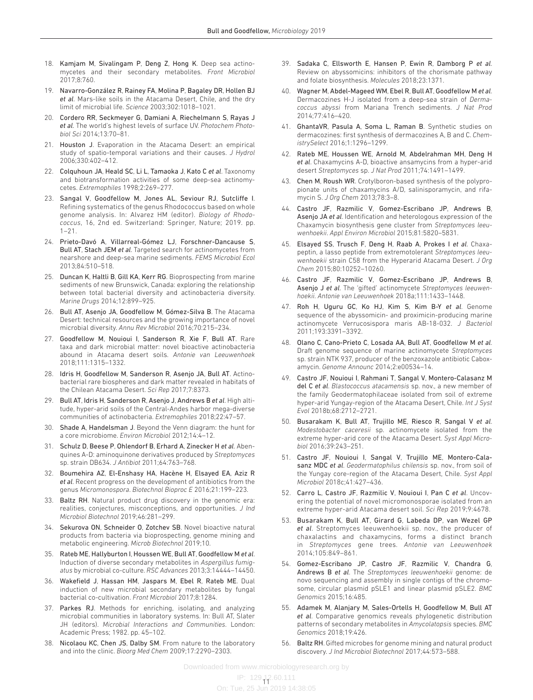- 18. Kamjam M, Sivalingam P, Deng Z, Hong K. Deep sea actinomycetes and their secondary metabolites. *Front Microbiol* 2017;8:760.
- 19. Navarro-González R, Rainey FA, Molina P, Bagaley DR, Hollen BJ *et al*. Mars-like soils in the Atacama Desert, Chile, and the dry limit of microbial life. *Science* 2003;302:1018–1021.
- 20. Cordero RR, Seckmeyer G, Damiani A, Riechelmann S, Rayas J *et al*. The world's highest levels of surface UV. *Photochem Photobiol Sci* 2014;13:70–81.
- 21. Houston J. Evaporation in the Atacama Desert: an empirical study of spatio-temporal variations and their causes. *J Hydrol* 2006;330:402–412.
- 22. Colquhoun JA, Heald SC, Li L, Tamaoka J, Kato C *et al*. Taxonomy and biotransformation activities of some deep-sea actinomycetes. *Extremophiles* 1998;2:269–277.
- 23. Sangal V, Goodfellow M, Jones AL, Seviour RJ, Sutcliffe I. Refining systematics of the genus Rhodococcus based on whole genome analysis. In: Alvarez HM (editor). *Biology of Rhodococcus*, 16, 2nd ed. Switzerland: Springer, Nature; 2019. pp.  $1 - 21$ .
- 24. Prieto-Davó A, Villarreal-Gómez LJ, Forschner-Dancause S, Bull AT, Stach JEM *et al*. Targeted search for actinomycetes from nearshore and deep-sea marine sediments. *FEMS Microbiol Ecol* 2013;84:510–518.
- 25. Duncan K, Haltli B, Gill KA, Kerr RG. Bioprospecting from marine sediments of new Brunswick, Canada: exploring the relationship between total bacterial diversity and actinobacteria diversity. *Marine Drugs* 2014;12:899–925.
- 26. Bull AT, Asenjo JA, Goodfellow M, Gómez-Silva B. The Atacama Desert: technical resources and the growing importance of novel microbial diversity. *Annu Rev Microbiol* 2016;70:215–234.
- 27. Goodfellow M, Nouioui I, Sanderson R, Xie F, Bull AT. Rare taxa and dark microbial matter: novel bioactive actinobacteria abound in Atacama desert soils. *Antonie van Leeuwenhoek* 2018;111:1315–1332.
- 28. Idris H, Goodfellow M, Sanderson R, Asenjo JA, Bull AT. Actinobacterial rare biospheres and dark matter revealed in habitats of the Chilean Atacama Desert. *Sci Rep* 2017;7:8373.
- 29. Bull AT, Idris H, Sanderson R, Asenjo J, Andrews B *et al*. High altitude, hyper-arid soils of the Central-Andes harbor mega-diverse communities of actinobacteria. *Extremophiles* 2018;22:47–57.
- 30. Shade A, Handelsman J. Beyond the Venn diagram: the hunt for a core microbiome. *Environ Microbiol* 2012;14:4–12.
- 31. Schulz D, Beese P, Ohlendorf B, Erhard A, Zinecker H *et al*. Abenquines A-D: aminoquinone derivatives produced by *Streptomyces* sp. strain DB634. *J Antibiot* 2011;64:763–768.
- 32. Boumehira AZ, El-Enshasy HA, Hacène H, Elsayed EA, Aziz R *et al*. Recent progress on the development of antibiotics from the genus *Micromonospora*. *Biotechnol Bioproc E* 2016;21:199–223.
- 33. Baltz RH. Natural product drug discovery in the genomic era: realities, conjectures, misconceptions, and opportunities. *J Ind Microbiol Biotechnol* 2019;46:281–299.
- 34. Sekurova ON, Schneider O, Zotchev SB. Novel bioactive natural products from bacteria via bioprospecting, genome mining and metabolic engineering. *Microb Biotechnol* 2019;10.
- 35. Rateb ME, Hallyburton I, Houssen WE, Bull AT, Goodfellow M *et al*. Induction of diverse secondary metabolites in *Aspergillus fumigatus* by microbial co-culture. *RSC Advances* 2013;3:14444–14450.
- 36. Wakefield J, Hassan HM, Jaspars M, Ebel R, Rateb ME. Dual induction of new microbial secondary metabolites by fungal bacterial co-cultivation. *Front Microbiol* 2017;8:1284.
- 37. Parkes RJ. Methods for enriching, isolating, and analyzing microbial communities in laboratory systems. In: Bull AT, Slater JH (editors). *Microbial Interactions and Communities*. London: Academic Press; 1982. pp. 45–102.
- 38. Nicolaou KC, Chen JS, Dalby SM. From nature to the laboratory and into the clinic. *Bioorg Med Chem* 2009;17:2290–2303.
- 39. Sadaka C, Ellsworth E, Hansen P, Ewin R, Damborg P *et al*. Review on abyssomicins: inhibitors of the chorismate pathway and folate biosynthesis. *Molecules* 2018;23:1371.
- 40. Wagner M, Abdel-Mageed WM, Ebel R, Bull AT, Goodfellow M *et al*. Dermacozines H-J isolated from a deep-sea strain of *Dermacoccus abyssi* from Mariana Trench sediments. *J Nat Prod* 2014;77:416–420.
- 41. GhantaVR, Pasula A, Soma L, Raman B. Synthetic studies on dermacozines: first synthesis of dermacozines A, B and C. *ChemistrySelect* 2016;1:1296–1299.
- 42. Rateb ME, Houssen WE, Arnold M, Abdelrahman MH, Deng H *et al*. Chaxamycins A-D, bioactive ansamycins from a hyper-arid desert *Streptomyces* sp. *J Nat Prod* 2011;74:1491–1499.
- 43. Chen M, Roush WR. Crotylboron-based synthesis of the polypropionate units of chaxamycins A/D, salinisporamycin, and rifamycin S. *J Org Chem* 2013;78:3–8.
- 44. Castro JF, Razmilic V, Gomez-Escribano JP, Andrews B, Asenjo JA *et al*. Identification and heterologous expression of the Chaxamycin biosynthesis gene cluster from *Streptomyces leeuwenhoekii*. *Appl Environ Microbiol* 2015;81:5820–5831.
- 45. Elsayed SS, Trusch F, Deng H, Raab A, Prokes I *et al*. Chaxapeptin, a lasso peptide from extremotolerant *Streptomyces leeuwenhoekii* strain C58 from the Hyperarid Atacama Desert. *J Org Chem* 2015;80:10252–10260.
- 46. Castro JF, Razmilic V, Gomez-Escribano JP, Andrews B, Asenjo J *et al*. The 'gifted' actinomycete *Streptomyces leeuwenhoekii*. *Antonie van Leeuwenhoek* 2018a;111:1433–1448.
- 47. Roh H, Uguru GC, Ko HJ, Kim S, Kim B-Y *et al*. Genome sequence of the abyssomicin- and proximicin-producing marine actinomycete Verrucosispora maris AB-18-032. *J Bacteriol* 2011;193:3391–3392.
- 48. Olano C, Cano-Prieto C, Losada AA, Bull AT, Goodfellow M *et al*. Draft genome sequence of marine actinomycete *Streptomyces* sp. strain NTK 937, producer of the benzoxazole antibiotic Caboxamycin. *Genome Announc* 2014;2:e00534–14.
- 49. Castro JF, Nouioui I, Rahmani T, Sangal V, Montero-Calasanz M del C *et al*. *Blastococcus atacamensis* sp. nov., a new member of the family Geodermatophilaceae isolated from soil of extreme hyper-arid Yungay-region of the Atacama Desert, Chile. *Int J Syst Evol* 2018b;68:2712–2721.
- 50. Busarakam K, Bull AT, Trujillo ME, Riesco R, Sangal V *et al*. *Modestobacter caceresii* sp. actinomycete isolated from the extreme hyper-arid core of the Atacama Desert. *Syst Appl Microbiol* 2016;39:243–251.
- 51. Castro JF, Nouioui I, Sangal V, Trujillo ME, Montero-Calasanz MDC *et al*. *Geodermatophilus chilensis* sp. nov., from soil of the Yungay core-region of the Atacama Desert, Chile. *Syst Appl Microbiol* 2018c;41:427–436.
- 52. Carro L, Castro JF, Razmilic V, Nouioui I, Pan C *et al*. Uncovering the potential of novel micromonosporae isolated from an extreme hyper-arid Atacama desert soil. *Sci Rep* 2019;9:4678.
- 53. Busarakam K, Bull AT, Girard G, Labeda DP, van Wezel GP *et al*. Streptomyces leeuwenhoekii sp. nov., the producer of chaxalactins and chaxamycins, forms a distinct branch in *Streptomyces* gene trees. *Antonie van Leeuwenhoek* 2014;105:849–861.
- 54. Gomez-Escribano JP, Castro JF, Razmilic V, Chandra G, Andrews B *et al*. The *Streptomyces leeuwenhoekii* genome: de novo sequencing and assembly in single contigs of the chromosome, circular plasmid pSLE1 and linear plasmid pSLE2. *BMC Genomics* 2015;16:485.
- 55. Adamek M, Alanjary M, Sales-Ortells H, Goodfellow M, Bull AT *et al*. Comparative genomics reveals phylogenetic distribution patterns of secondary metabolites in *Amycolatopsis* species. *BMC Genomics* 2018;19:426.
- 56. Baltz RH. Gifted microbes for genome mining and natural product discovery. *J Ind Microbiol Biotechnol* 2017;44:573–588.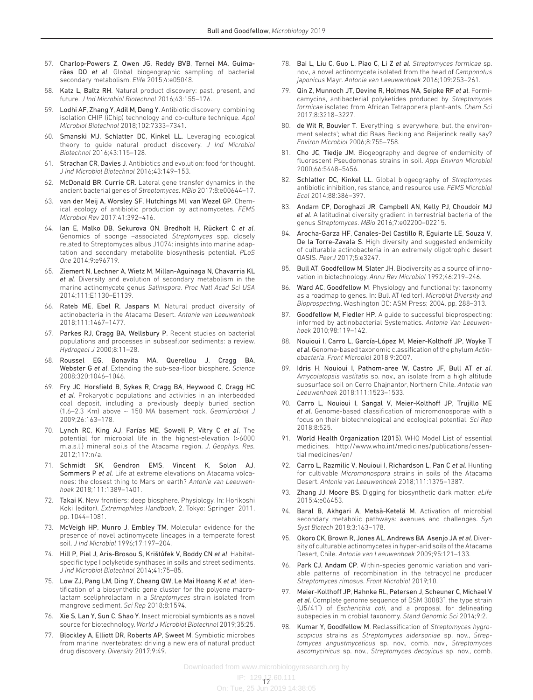- 57. Charlop-Powers Z, Owen JG, Reddy BVB, Ternei MA, Guimarães DO *et al*. Global biogeographic sampling of bacterial secondary metabolism. *Elife* 2015;4:e05048.
- 58. Katz L, Baltz RH. Natural product discovery: past, present, and future. *J Ind Microbiol Biotechnol* 2016;43:155–176.
- 59. Lodhi AF, Zhang Y, Adil M, Deng Y. Antibiotic discovery: combining isolation CHIP (iChip) technology and co-culture technique. *Appl Microbiol Biotechnol* 2018;102:7333–7341.
- 60. Smanski MJ, Schlatter DC, Kinkel LL. Leveraging ecological theory to guide natural product discovery. *J Ind Microbiol Biotechnol* 2016;43:115–128.
- 61. Strachan CR, Davies J. Antibiotics and evolution: food for thought. *J Ind Microbiol Biotechnol* 2016;43:149–153.
- 62. McDonald BR, Currie CR. Lateral gene transfer dynamics in the ancient bacterial genes of *Streptomyces*. *MBio* 2017;8:e00644–17.
- 63. van der Meij A, Worsley SF, Hutchings MI, van Wezel GP. Chemical ecology of antibiotic production by actinomycetes. *FEMS Microbiol Rev* 2017;41:392–416.
- 64. Ian E, Malko DB, Sekurova ON, Bredholt H, Rückert C *et al*. Genomics of sponge –associated *Streptomyces* spp. closely related to Streptomyces albus J1074: insights into marine adaptation and secondary metabolite biosynthesis potential. *PLoS One* 2014;9:e96719.
- 65. Ziemert N, Lechner A, Wietz M, Millan-Aguinaga N, Chavarria KL *et al*. Diversity and evolution of secondary metabolism in the marine actinomycete genus *Salinispora*. *Proc Natl Acad Sci USA* 2014;111:E1130–E1139.
- 66. Rateb ME, Ebel R, Jaspars M. Natural product diversity of actinobacteria in the Atacama Desert. *Antonie van Leeuwenhoek* 2018;111:1467–1477.
- 67. Parkes RJ, Cragg BA, Wellsbury P. Recent studies on bacterial populations and processes in subseafloor sediments: a review. *Hydrogeol J* 2000;8:11–28.
- 68. Roussel EG, Bonavita MA, Querellou J, Cragg BA, Webster G *et al*. Extending the sub-sea-floor biosphere. *Science* 2008;320:1046–1046.
- 69. Fry JC, Horsfield B, Sykes R, Cragg BA, Heywood C, Cragg HC *et al*. Prokaryotic populations and activities in an interbedded coal deposit, including a previously deeply buried section (1.6–2.3 Km) above ∼ 150 MA basement rock. *Geomicrobiol J* 2009;26:163–178.
- 70. Lynch RC, King AJ, Farías ME, Sowell P, Vitry C *et al*. The potential for microbial life in the highest-elevation (>6000 m.a.s.l.) mineral soils of the Atacama region. *J. Geophys. Res.* 2012;117:n/a.
- 71. Schmidt SK, Gendron EMS, Vincent K, Solon AJ, Sommers P *et al*. Life at extreme elevations on Atacama volcanoes: the closest thing to Mars on earth? *Antonie van Leeuwenhoek* 2018;111:1389–1401.
- 72. Takai K. New frontiers: deep biosphere. Physiology. In: Horikoshi Koki (editor). *Extremophiles Handbook*, 2. Tokyo: Springer; 2011. pp. 1044–1081.
- 73. McVeigh HP, Munro J, Embley TM. Molecular evidence for the presence of novel actinomycete lineages in a temperate forest soil. *J Ind Microbiol* 1996;17:197–204.
- 74. Hill P, Piel J, Aris-Brosou S, Krištůfek V, Boddy CN *et al*. Habitatspecific type I polyketide synthases in soils and street sediments. *J Ind Microbiol Biotechnol* 2014;41:75–85.
- 75. Low ZJ, Pang LM, Ding Y, Cheang QW, Le Mai Hoang K *et al*. Identification of a biosynthetic gene cluster for the polyene macrolactam sceliphrolactam in a *Streptomyces* strain isolated from mangrove sediment. *Sci Rep* 2018;8:1594.
- 76. Xie S, Lan Y, Sun C, Shao Y. Insect microbial symbionts as a novel source for biotechnology. *World J Microbiol Biotechnol* 2019;35:25.
- 77. Blockley A, Elliott DR, Roberts AP, Sweet M. Symbiotic microbes from marine invertebrates: driving a new era of natural product drug discovery. *Diversity* 2017;9:49.
- 78. Bai L, Liu C, Guo L, Piao C, Li Z *et al*. *Streptomyces formicae* sp. nov., a novel actinomycete isolated from the head of *Camponotus japonicus* Mayr. *Antonie van Leeuwenhoek* 2016;109:253–261.
- 79. Qin Z, Munnoch JT, Devine R, Holmes NA, Seipke RF *et al*. Formicamycins, antibacterial polyketides produced by *Streptomyces formicae* isolated from African Tetraponera plant-ants. *Chem Sci* 2017;8:3218–3227.
- 80. de Wit R, Bouvier T. 'Everything is everywhere, but, the environment selects'; what did Baas Becking and Beijerinck really say? *Environ Microbiol* 2006;8:755–758.
- 81. Cho JC, Tiedje JM. Biogeography and degree of endemicity of fluorescent Pseudomonas strains in soil. *Appl Environ Microbiol* 2000;66:5448–5456.
- 82. Schlatter DC, Kinkel LL. Global biogeography of *Streptomyces* antibiotic inhibition, resistance, and resource use. *FEMS Microbiol Ecol* 2014;88:386–397.
- 83. Andam CP, Doroghazi JR, Campbell AN, Kelly PJ, Choudoir MJ *et al*. A latitudinal diversity gradient in terrestrial bacteria of the genus *Streptomyces*. *MBio* 2016;7:e02200–02215.
- 84. Arocha-Garza HF, Canales-Del Castillo R, Eguiarte LE, Souza V, De la Torre-Zavala S. High diversity and suggested endemicity of culturable actinobacteria in an extremely oligotrophic desert OASIS. *PeerJ* 2017;5:e3247.
- Bull AT, Goodfellow M, Slater JH. Biodiversity as a source of innovation in biotechnology. *Annu Rev Microbiol* 1992;46:219–246.
- 86. Ward AC, Goodfellow M. Physiology and functionality: taxonomy as a roadmap to genes. In: Bull AT (editor). *Microbial Diversity and Bioprospecting*. Washington DC: ASM Press; 2004. pp. 288–313.
- Goodfellow M, Fiedler HP. A guide to successful bioprospecting: informed by actinobacterial Systematics. *Antonie Van Leeuwenhoek* 2010;98:119–142.
- 88. Nouioui I, Carro L, García-López M, Meier-Kolthoff JP, Woyke T *et al*. Genome-based taxonomic classification of the phylum *Actinobacteria*. *Front Microbiol* 2018;9:2007.
- 89. Idris H, Nouioui I, Pathom-aree W, Castro JF, Bull AT *et al*. *Amycolatopsis vastitatis* sp. nov., an isolate from a high altitude subsurface soil on Cerro Chajnantor, Northern Chile. *Antonie van Leeuwenhoek* 2018;111:1523–1533.
- 90. Carro L, Nouioui I, Sangal V, Meier-Kolthoff JP, Trujillo ME *et al*. Genome-based classification of micromonosporae with a focus on their biotechnological and ecological potential. *Sci Rep* 2018;8:525.
- 91. World Health Organization (2015). WHO Model List of essential medicines. [http://www.who.int/medicines/publications/essen](http://www.who.int/medicines/publications/essential%20medicines/en/)[tial medicines/en/](http://www.who.int/medicines/publications/essential%20medicines/en/)
- 92. Carro L, Razmilic V, Nouioui I, Richardson L, Pan C *et al*. Hunting for cultivable *Micromonospora* strains in soils of the Atacama Desert. *Antonie van Leeuwenhoek* 2018;111:1375–1387.
- 93. Zhang JJ, Moore BS. Digging for biosynthetic dark matter. *eLife* 2015;4:e06453.
- 94. Baral B, Akhgari A, Metsä-Ketelä M. Activation of microbial secondary metabolic pathways: avenues and challenges. *Syn Syst Biotech* 2018;3:163–178.
- 95. Okoro CK, Brown R, Jones AL, Andrews BA, Asenjo JA *et al*. Diversity of culturable actinomycetes in hyper-arid soils of the Atacama Desert, Chile. *Antonie van Leeuwenhoek* 2009;95:121–133.
- 96. Park CJ, Andam CP. Within-species genomic variation and variable patterns of recombination in the tetracycline producer *Streptomyces rimosus*. *Front Microbiol* 2019;10.
- 97. Meier-Kolthoff JP, Hahnke RL, Petersen J, Scheuner C, Michael V *et al*. Complete genome sequence of DSM 30083T , the type strain (U5/41T ) of *Escherichia coli*, and a proposal for delineating subspecies in microbial taxonomy. *Stand Genomic Sci* 2014;9:2.
- 98. Kumar Y, Goodfellow M. Reclassification of *Streptomyces hygroscopicus* strains as *Streptomyces aldersoniae* sp. nov., *Streptomyces angustmyceticus* sp. nov., comb. nov., *Streptomyces ascomycinicus* sp. nov., *Streptomyces decoyicus* sp. nov., comb.